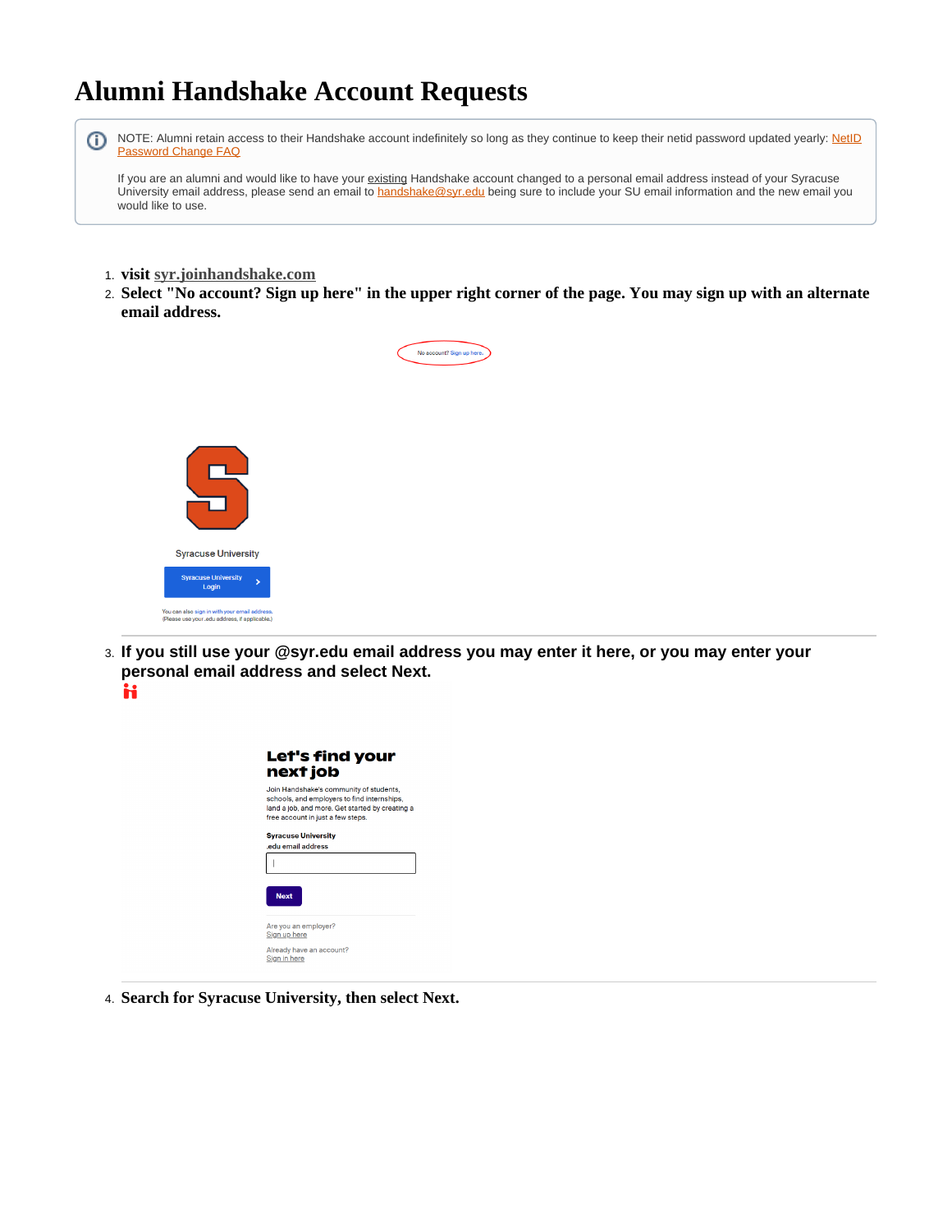## **Alumni Handshake Account Requests**



University email address, please send an email to [handshake@syr.edu](mailto:handshake@syr.edu) being sure to include your SU email information and the new email you would like to use.

- 1. **visit [syr.joinhandshake.com](http://syr.joinhandshake.com)**
- 2. **Select "No account? Sign up here" in the upper right corner of the page. You may sign up with an alternate email address.**

No account? Sign up her



3. **If you still use your @syr.edu email address you may enter it here, or you may enter your personal email address and select Next.** H



4. **Search for Syracuse University, then select Next.**